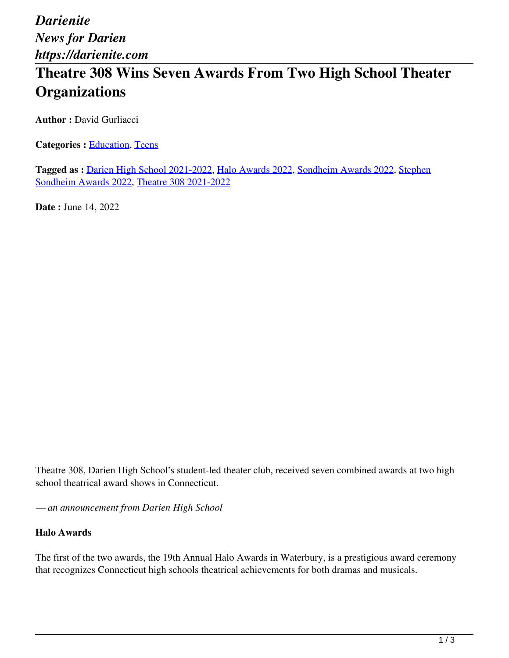*Darienite News for Darien https://darienite.com*

# **Theatre 308 Wins Seven Awards From Two High School Theater Organizations**

**Author : David Gurliacci** 

Categories : **Education**, Teens

**Tagged as :** Darien High School 2021-2022, Halo Awards 2022, Sondheim Awards 2022, Stephen Sondheim Awards 2022, Theatre 308 2021-2022

**Date : June 14, 2022** 

Theatre 308, Darien High School's student-led theater club, received seven combined awards at two high school theatrical award shows in Connecticut.

*— an announcement from Darien High School*

#### **Halo Awards**

The first of the two awards, the 19th Annual Halo Awards in Waterbury, is a prestigious award ceremony that recognizes Connecticut high schools theatrical achievements for both dramas and musicals.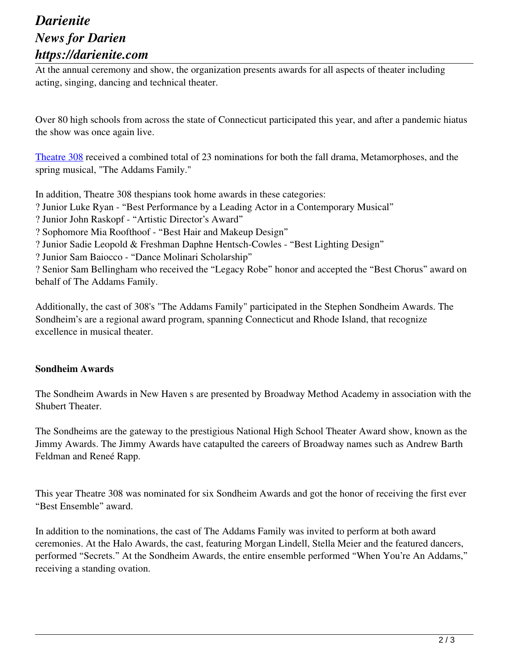### *Darienite News for Darien https://darienite.com*

At the annual ceremony and show, the organization presents awards for all aspects of theater including acting, singing, dancing and technical theater.

Over 80 high schools from across the state of Connecticut participated this year, and after a pandemic hiatus the show was once again live.

Theatre 308 received a combined total of 23 nominations for both the fall drama, Metamorphoses, and the spring musical, "The Addams Family."

In addition, Theatre 308 thespians took home awards in these categories:

? Junior Luke Ryan - "Best Performance by a Leading Actor in a Contemporary Musical"

? Junior John Raskopf - "Artistic Director's Award"

? Sophomore Mia Roofthoof - "Best Hair and Makeup Design"

? Junior Sadie Leopold & Freshman Daphne Hentsch-Cowles - "Best Lighting Design"

? Junior Sam Baiocco - "Dance Molinari Scholarship"

? Senior Sam Bellingham who received the "Legacy Robe" honor and accepted the "Best Chorus" award on behalf of The Addams Family.

Additionally, the cast of 308's "The Addams Family" participated in the Stephen Sondheim Awards. The Sondheim's are a regional award program, spanning Connecticut and Rhode Island, that recognize excellence in musical theater.

#### **Sondheim Awards**

The Sondheim Awards in New Haven s are presented by Broadway Method Academy in association with the Shubert Theater.

The Sondheims are the gateway to the prestigious National High School Theater Award show, known as the Jimmy Awards. The Jimmy Awards have catapulted the careers of Broadway names such as Andrew Barth Feldman and Reneé Rapp.

This year Theatre 308 was nominated for six Sondheim Awards and got the honor of receiving the first ever "Best Ensemble" award.

In addition to the nominations, the cast of The Addams Family was invited to perform at both award ceremonies. At the Halo Awards, the cast, featuring Morgan Lindell, Stella Meier and the featured dancers, performed "Secrets." At the Sondheim Awards, the entire ensemble performed "When You're An Addams," receiving a standing ovation.